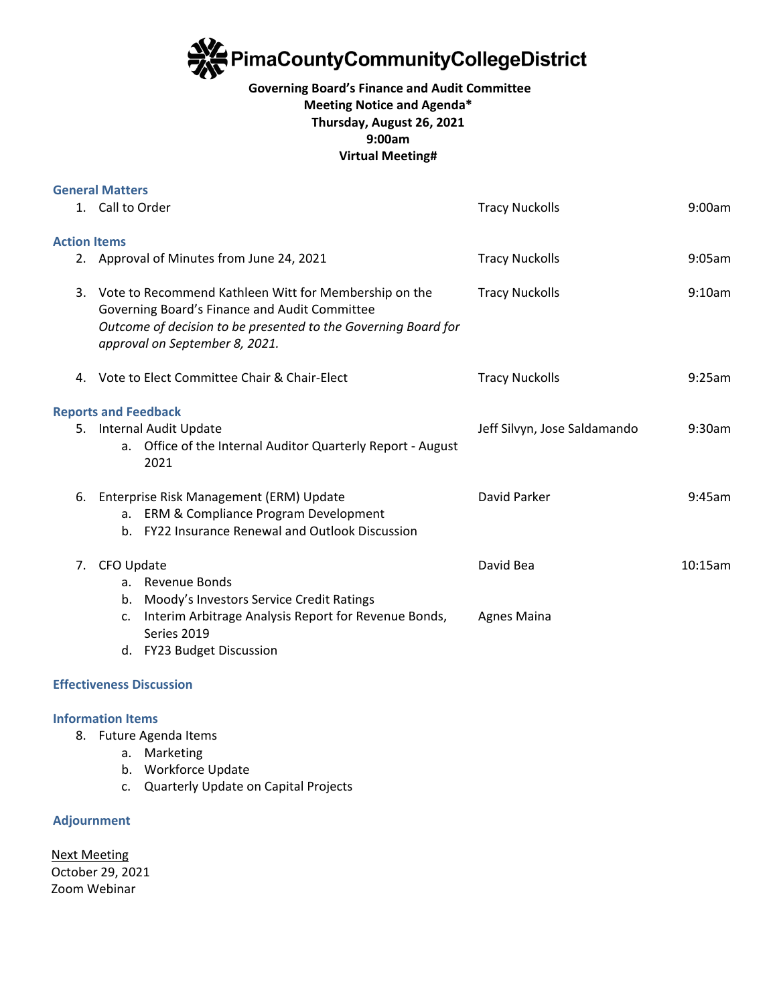

# **Governing Board's Finance and Audit Committee Meeting Notice and Agenda\* Thursday, August 26, 2021 9:00am Virtual Meeting#**

|                     | <b>General Matters</b>                                                                                                                                                                                     |                              |         |
|---------------------|------------------------------------------------------------------------------------------------------------------------------------------------------------------------------------------------------------|------------------------------|---------|
|                     | 1. Call to Order                                                                                                                                                                                           | <b>Tracy Nuckolls</b>        | 9:00am  |
| <b>Action Items</b> |                                                                                                                                                                                                            |                              |         |
|                     | 2. Approval of Minutes from June 24, 2021                                                                                                                                                                  | <b>Tracy Nuckolls</b>        | 9:05am  |
| 3.                  | Vote to Recommend Kathleen Witt for Membership on the<br>Governing Board's Finance and Audit Committee<br>Outcome of decision to be presented to the Governing Board for<br>approval on September 8, 2021. | <b>Tracy Nuckolls</b>        | 9:10am  |
|                     | 4. Vote to Elect Committee Chair & Chair-Elect                                                                                                                                                             | <b>Tracy Nuckolls</b>        | 9:25am  |
|                     | <b>Reports and Feedback</b>                                                                                                                                                                                |                              |         |
|                     | 5. Internal Audit Update<br>Office of the Internal Auditor Quarterly Report - August<br>а.<br>2021                                                                                                         | Jeff Silvyn, Jose Saldamando | 9:30am  |
| 6.                  | Enterprise Risk Management (ERM) Update<br>ERM & Compliance Program Development<br>$a_{-}$<br>b. FY22 Insurance Renewal and Outlook Discussion                                                             | David Parker                 | 9:45am  |
| 7.                  | CFO Update<br>a. Revenue Bonds<br>Moody's Investors Service Credit Ratings<br>b.                                                                                                                           | David Bea                    | 10:15am |
|                     | Interim Arbitrage Analysis Report for Revenue Bonds,<br>c.<br>Series 2019<br>d. FY23 Budget Discussion                                                                                                     | <b>Agnes Maina</b>           |         |
|                     |                                                                                                                                                                                                            |                              |         |

## **Effectiveness Discussion**

### **Information Items**

- 8. Future Agenda Items
	- a. Marketing
	- b. Workforce Update
	- c. Quarterly Update on Capital Projects

### **Adjournment**

Next Meeting October 29, 2021 Zoom Webinar